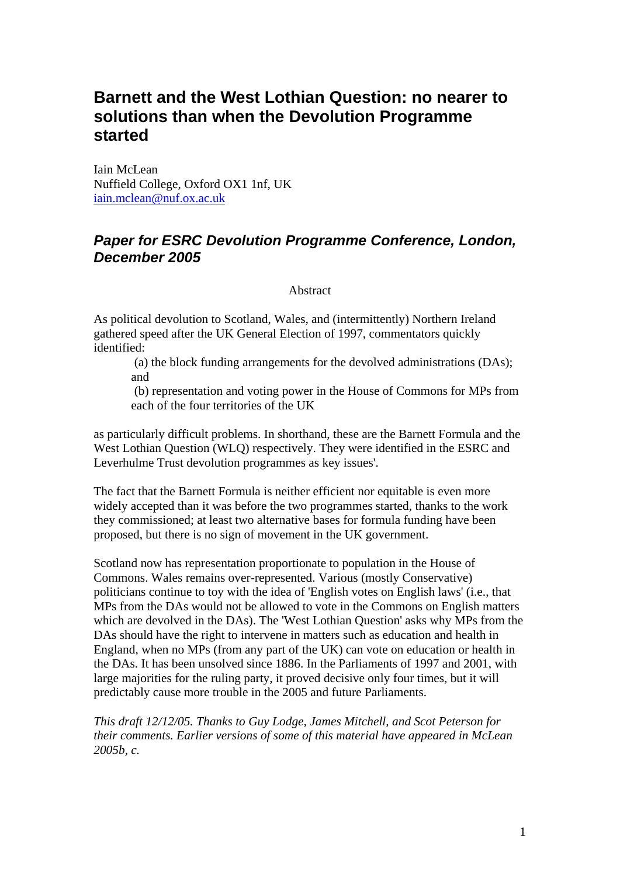# **Barnett and the West Lothian Question: no nearer to solutions than when the Devolution Programme started**

Iain McLean Nuffield College, Oxford OX1 1nf, UK [iain.mclean@nuf.ox.ac.uk](mailto:iain.mclean@nuf.ox.ac.uk)

# *Paper for ESRC Devolution Programme Conference, London, December 2005*

Abstract

As political devolution to Scotland, Wales, and (intermittently) Northern Ireland gathered speed after the UK General Election of 1997, commentators quickly identified:

 (a) the block funding arrangements for the devolved administrations (DAs); and

 (b) representation and voting power in the House of Commons for MPs from each of the four territories of the UK

as particularly difficult problems. In shorthand, these are the Barnett Formula and the West Lothian Question (WLQ) respectively. They were identified in the ESRC and Leverhulme Trust devolution programmes as key issues'.

The fact that the Barnett Formula is neither efficient nor equitable is even more widely accepted than it was before the two programmes started, thanks to the work they commissioned; at least two alternative bases for formula funding have been proposed, but there is no sign of movement in the UK government.

Scotland now has representation proportionate to population in the House of Commons. Wales remains over-represented. Various (mostly Conservative) politicians continue to toy with the idea of 'English votes on English laws' (i.e., that MPs from the DAs would not be allowed to vote in the Commons on English matters which are devolved in the DAs). The 'West Lothian Question' asks why MPs from the DAs should have the right to intervene in matters such as education and health in England, when no MPs (from any part of the UK) can vote on education or health in the DAs. It has been unsolved since 1886. In the Parliaments of 1997 and 2001, with large majorities for the ruling party, it proved decisive only four times, but it will predictably cause more trouble in the 2005 and future Parliaments.

*This draft 12/12/05. Thanks to Guy Lodge, James Mitchell, and Scot Peterson for their comments. Earlier versions of some of this material have appeared in McLean 2005b, c.*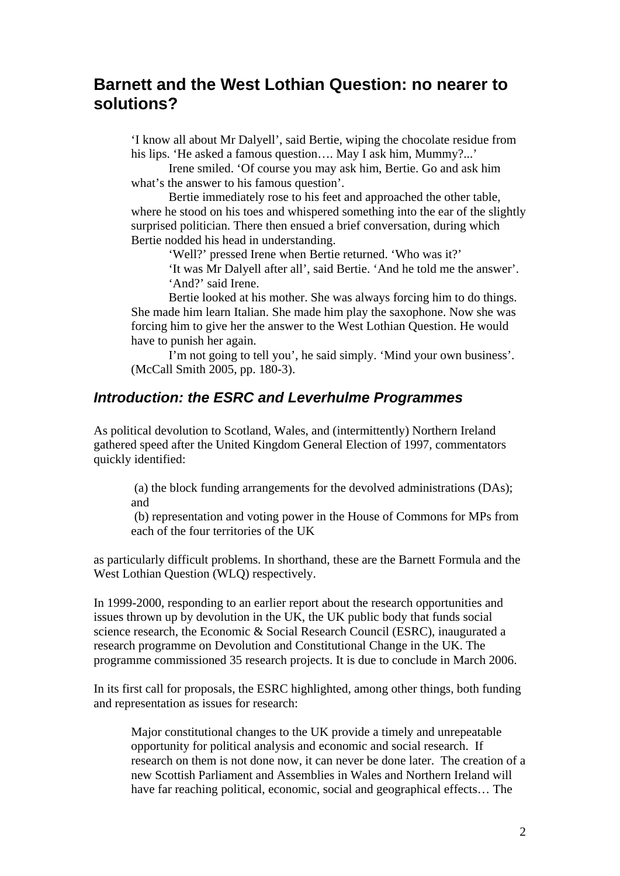# **Barnett and the West Lothian Question: no nearer to solutions?**

'I know all about Mr Dalyell', said Bertie, wiping the chocolate residue from his lips. 'He asked a famous question.... May I ask him, Mummy?...'

 Irene smiled. 'Of course you may ask him, Bertie. Go and ask him what's the answer to his famous question'.

 Bertie immediately rose to his feet and approached the other table, where he stood on his toes and whispered something into the ear of the slightly surprised politician. There then ensued a brief conversation, during which Bertie nodded his head in understanding.

'Well?' pressed Irene when Bertie returned. 'Who was it?'

 'It was Mr Dalyell after all', said Bertie. 'And he told me the answer'. 'And?' said Irene.

 Bertie looked at his mother. She was always forcing him to do things. She made him learn Italian. She made him play the saxophone. Now she was forcing him to give her the answer to the West Lothian Question. He would have to punish her again.

 I'm not going to tell you', he said simply. 'Mind your own business'. (McCall Smith 2005, pp. 180-3).

### *Introduction: the ESRC and Leverhulme Programmes*

As political devolution to Scotland, Wales, and (intermittently) Northern Ireland gathered speed after the United Kingdom General Election of 1997, commentators quickly identified:

 (a) the block funding arrangements for the devolved administrations (DAs); and

 (b) representation and voting power in the House of Commons for MPs from each of the four territories of the UK

as particularly difficult problems. In shorthand, these are the Barnett Formula and the West Lothian Question (WLQ) respectively.

In 1999-2000, responding to an earlier report about the research opportunities and issues thrown up by devolution in the UK, the UK public body that funds social science research, the Economic & Social Research Council (ESRC), inaugurated a research programme on Devolution and Constitutional Change in the UK. The programme commissioned 35 research projects. It is due to conclude in March 2006.

In its first call for proposals, the ESRC highlighted, among other things, both funding and representation as issues for research:

Major constitutional changes to the UK provide a timely and unrepeatable opportunity for political analysis and economic and social research. If research on them is not done now, it can never be done later. The creation of a new Scottish Parliament and Assemblies in Wales and Northern Ireland will have far reaching political, economic, social and geographical effects… The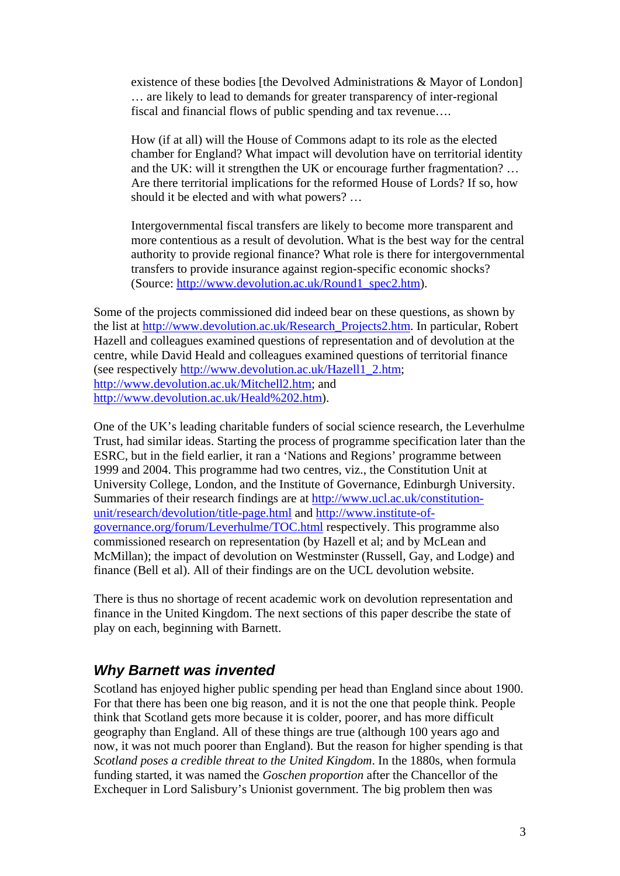existence of these bodies [the Devolved Administrations & Mayor of London] … are likely to lead to demands for greater transparency of inter-regional fiscal and financial flows of public spending and tax revenue….

How (if at all) will the House of Commons adapt to its role as the elected chamber for England? What impact will devolution have on territorial identity and the UK: will it strengthen the UK or encourage further fragmentation? … Are there territorial implications for the reformed House of Lords? If so, how should it be elected and with what powers? …

Intergovernmental fiscal transfers are likely to become more transparent and more contentious as a result of devolution. What is the best way for the central authority to provide regional finance? What role is there for intergovernmental transfers to provide insurance against region-specific economic shocks? (Source: [http://www.devolution.ac.uk/Round1\\_spec2.htm\)](http://www.devolution.ac.uk/Round1_spec2.htm).

Some of the projects commissioned did indeed bear on these questions, as shown by the list at [http://www.devolution.ac.uk/Research\\_Projects2.htm](http://www.devolution.ac.uk/Research_Projects2.htm). In particular, Robert Hazell and colleagues examined questions of representation and of devolution at the centre, while David Heald and colleagues examined questions of territorial finance (see respectively [http://www.devolution.ac.uk/Hazell1\\_2.htm](http://www.devolution.ac.uk/Hazell1_2.htm); <http://www.devolution.ac.uk/Mitchell2.htm>; and <http://www.devolution.ac.uk/Heald%202.htm>).

One of the UK's leading charitable funders of social science research, the Leverhulme Trust, had similar ideas. Starting the process of programme specification later than the ESRC, but in the field earlier, it ran a 'Nations and Regions' programme between 1999 and 2004. This programme had two centres, viz., the Constitution Unit at University College, London, and the Institute of Governance, Edinburgh University. Summaries of their research findings are at [http://www.ucl.ac.uk/constitution](http://www.ucl.ac.uk/constitution-unit/research/devolution/title-page.html)[unit/research/devolution/title-page.html](http://www.ucl.ac.uk/constitution-unit/research/devolution/title-page.html) and [http://www.institute-of](http://www.institute-of-governance.org/forum/Leverhulme/TOC.html)[governance.org/forum/Leverhulme/TOC.html](http://www.institute-of-governance.org/forum/Leverhulme/TOC.html) respectively. This programme also commissioned research on representation (by Hazell et al; and by McLean and McMillan); the impact of devolution on Westminster (Russell, Gay, and Lodge) and finance (Bell et al). All of their findings are on the UCL devolution website.

There is thus no shortage of recent academic work on devolution representation and finance in the United Kingdom. The next sections of this paper describe the state of play on each, beginning with Barnett.

## *Why Barnett was invented*

Scotland has enjoyed higher public spending per head than England since about 1900. For that there has been one big reason, and it is not the one that people think. People think that Scotland gets more because it is colder, poorer, and has more difficult geography than England. All of these things are true (although 100 years ago and now, it was not much poorer than England). But the reason for higher spending is that *Scotland poses a credible threat to the United Kingdom*. In the 1880s, when formula funding started, it was named the *Goschen proportion* after the Chancellor of the Exchequer in Lord Salisbury's Unionist government. The big problem then was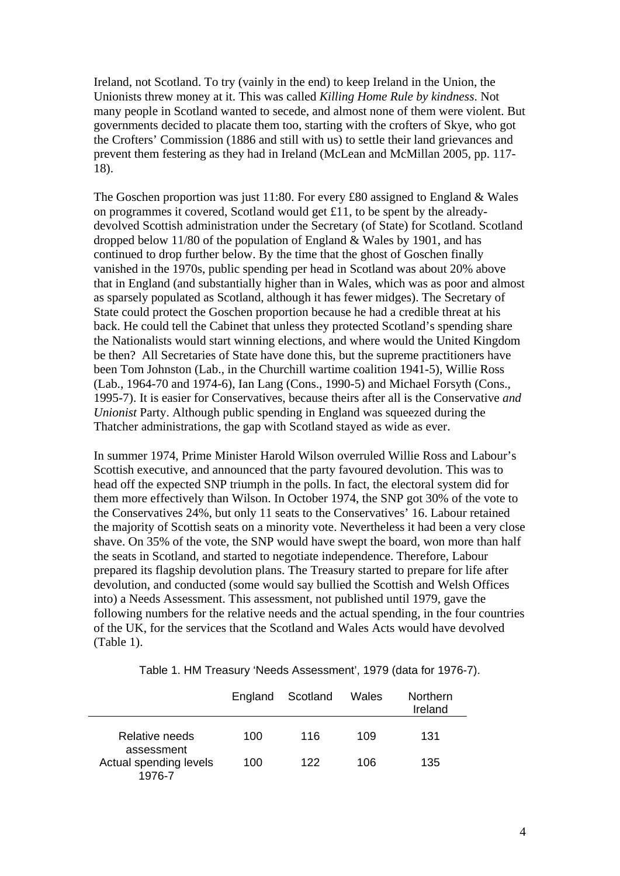Ireland, not Scotland. To try (vainly in the end) to keep Ireland in the Union, the Unionists threw money at it. This was called *Killing Home Rule by kindness*. Not many people in Scotland wanted to secede, and almost none of them were violent. But governments decided to placate them too, starting with the crofters of Skye, who got the Crofters' Commission (1886 and still with us) to settle their land grievances and prevent them festering as they had in Ireland (McLean and McMillan 2005, pp. 117- 18).

The Goschen proportion was just 11:80. For every £80 assigned to England & Wales on programmes it covered, Scotland would get £11, to be spent by the alreadydevolved Scottish administration under the Secretary (of State) for Scotland. Scotland dropped below 11/80 of the population of England  $&$  Wales by 1901, and has continued to drop further below. By the time that the ghost of Goschen finally vanished in the 1970s, public spending per head in Scotland was about 20% above that in England (and substantially higher than in Wales, which was as poor and almost as sparsely populated as Scotland, although it has fewer midges). The Secretary of State could protect the Goschen proportion because he had a credible threat at his back. He could tell the Cabinet that unless they protected Scotland's spending share the Nationalists would start winning elections, and where would the United Kingdom be then? All Secretaries of State have done this, but the supreme practitioners have been Tom Johnston (Lab., in the Churchill wartime coalition 1941-5), Willie Ross (Lab., 1964-70 and 1974-6), Ian Lang (Cons., 1990-5) and Michael Forsyth (Cons., 1995-7). It is easier for Conservatives, because theirs after all is the Conservative *and Unionist* Party. Although public spending in England was squeezed during the Thatcher administrations, the gap with Scotland stayed as wide as ever.

In summer 1974, Prime Minister Harold Wilson overruled Willie Ross and Labour's Scottish executive, and announced that the party favoured devolution. This was to head off the expected SNP triumph in the polls. In fact, the electoral system did for them more effectively than Wilson. In October 1974, the SNP got 30% of the vote to the Conservatives 24%, but only 11 seats to the Conservatives' 16. Labour retained the majority of Scottish seats on a minority vote. Nevertheless it had been a very close shave. On 35% of the vote, the SNP would have swept the board, won more than half the seats in Scotland, and started to negotiate independence. Therefore, Labour prepared its flagship devolution plans. The Treasury started to prepare for life after devolution, and conducted (some would say bullied the Scottish and Welsh Offices into) a Needs Assessment. This assessment, not published until 1979, gave the following numbers for the relative needs and the actual spending, in the four countries of the UK, for the services that the Scotland and Wales Acts would have devolved (Table 1).

|                                  | England | Scotland | Wales | Northern<br>Ireland |
|----------------------------------|---------|----------|-------|---------------------|
| Relative needs<br>assessment     | 100     | 116      | 109   | 131                 |
| Actual spending levels<br>1976-7 | 100     | 122      | 106   | 135                 |

Table 1. HM Treasury 'Needs Assessment', 1979 (data for 1976-7).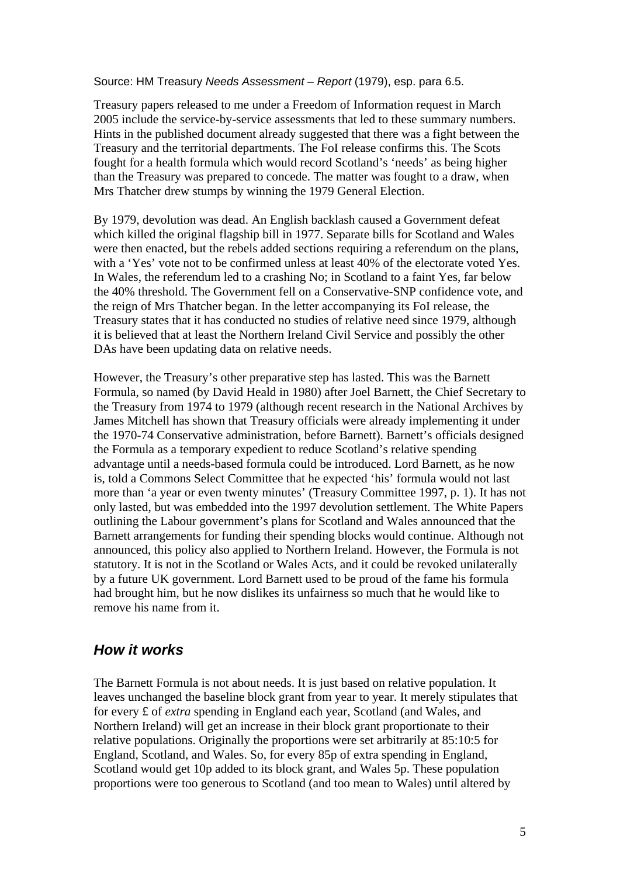#### Source: HM Treasury *Needs Assessment – Report* (1979), esp. para 6.5.

Treasury papers released to me under a Freedom of Information request in March 2005 include the service-by-service assessments that led to these summary numbers. Hints in the published document already suggested that there was a fight between the Treasury and the territorial departments. The FoI release confirms this. The Scots fought for a health formula which would record Scotland's 'needs' as being higher than the Treasury was prepared to concede. The matter was fought to a draw, when Mrs Thatcher drew stumps by winning the 1979 General Election.

By 1979, devolution was dead. An English backlash caused a Government defeat which killed the original flagship bill in 1977. Separate bills for Scotland and Wales were then enacted, but the rebels added sections requiring a referendum on the plans, with a 'Yes' vote not to be confirmed unless at least 40% of the electorate voted Yes. In Wales, the referendum led to a crashing No; in Scotland to a faint Yes, far below the 40% threshold. The Government fell on a Conservative-SNP confidence vote, and the reign of Mrs Thatcher began. In the letter accompanying its FoI release, the Treasury states that it has conducted no studies of relative need since 1979, although it is believed that at least the Northern Ireland Civil Service and possibly the other DAs have been updating data on relative needs.

However, the Treasury's other preparative step has lasted. This was the Barnett Formula, so named (by David Heald in 1980) after Joel Barnett, the Chief Secretary to the Treasury from 1974 to 1979 (although recent research in the National Archives by James Mitchell has shown that Treasury officials were already implementing it under the 1970-74 Conservative administration, before Barnett). Barnett's officials designed the Formula as a temporary expedient to reduce Scotland's relative spending advantage until a needs-based formula could be introduced. Lord Barnett, as he now is, told a Commons Select Committee that he expected 'his' formula would not last more than 'a year or even twenty minutes' (Treasury Committee 1997, p. 1). It has not only lasted, but was embedded into the 1997 devolution settlement. The White Papers outlining the Labour government's plans for Scotland and Wales announced that the Barnett arrangements for funding their spending blocks would continue. Although not announced, this policy also applied to Northern Ireland. However, the Formula is not statutory. It is not in the Scotland or Wales Acts, and it could be revoked unilaterally by a future UK government. Lord Barnett used to be proud of the fame his formula had brought him, but he now dislikes its unfairness so much that he would like to remove his name from it.

## *How it works*

The Barnett Formula is not about needs. It is just based on relative population. It leaves unchanged the baseline block grant from year to year. It merely stipulates that for every £ of *extra* spending in England each year, Scotland (and Wales, and Northern Ireland) will get an increase in their block grant proportionate to their relative populations. Originally the proportions were set arbitrarily at 85:10:5 for England, Scotland, and Wales. So, for every 85p of extra spending in England, Scotland would get 10p added to its block grant, and Wales 5p. These population proportions were too generous to Scotland (and too mean to Wales) until altered by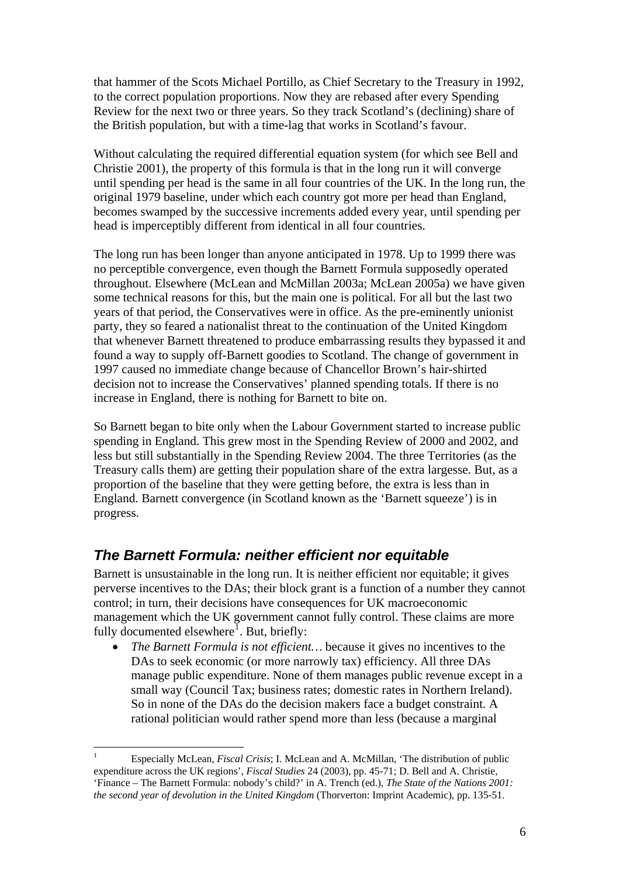<span id="page-5-0"></span>that hammer of the Scots Michael Portillo, as Chief Secretary to the Treasury in 1992, to the correct population proportions. Now they are rebased after every Spending Review for the next two or three years. So they track Scotland's (declining) share of the British population, but with a time-lag that works in Scotland's favour.

Without calculating the required differential equation system (for which see Bell and Christie 2001), the property of this formula is that in the long run it will converge until spending per head is the same in all four countries of the UK. In the long run, the original 1979 baseline, under which each country got more per head than England, becomes swamped by the successive increments added every year, until spending per head is imperceptibly different from identical in all four countries.

The long run has been longer than anyone anticipated in 1978. Up to 1999 there was no perceptible convergence, even though the Barnett Formula supposedly operated throughout. Elsewhere (McLean and McMillan 2003a; McLean 2005a) we have given some technical reasons for this, but the main one is political. For all but the last two years of that period, the Conservatives were in office. As the pre-eminently unionist party, they so feared a nationalist threat to the continuation of the United Kingdom that whenever Barnett threatened to produce embarrassing results they bypassed it and found a way to supply off-Barnett goodies to Scotland. The change of government in 1997 caused no immediate change because of Chancellor Brown's hair-shirted decision not to increase the Conservatives' planned spending totals. If there is no increase in England, there is nothing for Barnett to bite on.

So Barnett began to bite only when the Labour Government started to increase public spending in England. This grew most in the Spending Review of 2000 and 2002, and less but still substantially in the Spending Review 2004. The three Territories (as the Treasury calls them) are getting their population share of the extra largesse. But, as a proportion of the baseline that they were getting before, the extra is less than in England. Barnett convergence (in Scotland known as the 'Barnett squeeze') is in progress.

## *The Barnett Formula: neither efficient nor equitable*

Barnett is unsustainable in the long run. It is neither efficient nor equitable; it gives perverse incentives to the DAs; their block grant is a function of a number they cannot control; in turn, their decisions have consequences for UK macroeconomic management which the UK government cannot fully control. These claims are more fully documented elsewhere<sup>[1](#page-5-0)</sup>. But, briefly:

• *The Barnett Formula is not efficient...* because it gives no incentives to the DAs to seek economic (or more narrowly tax) efficiency. All three DAs manage public expenditure. None of them manages public revenue except in a small way (Council Tax; business rates; domestic rates in Northern Ireland). So in none of the DAs do the decision makers face a budget constraint. A rational politician would rather spend more than less (because a marginal

1

<sup>1</sup> Especially McLean, *Fiscal Crisis*; I. McLean and A. McMillan, 'The distribution of public expenditure across the UK regions', *Fiscal Studies* 24 (2003), pp. 45-71; D. Bell and A. Christie, 'Finance – The Barnett Formula: nobody's child?' in A. Trench (ed.), *The State of the Nations 2001: the second year of devolution in the United Kingdom* (Thorverton: Imprint Academic), pp. 135-51.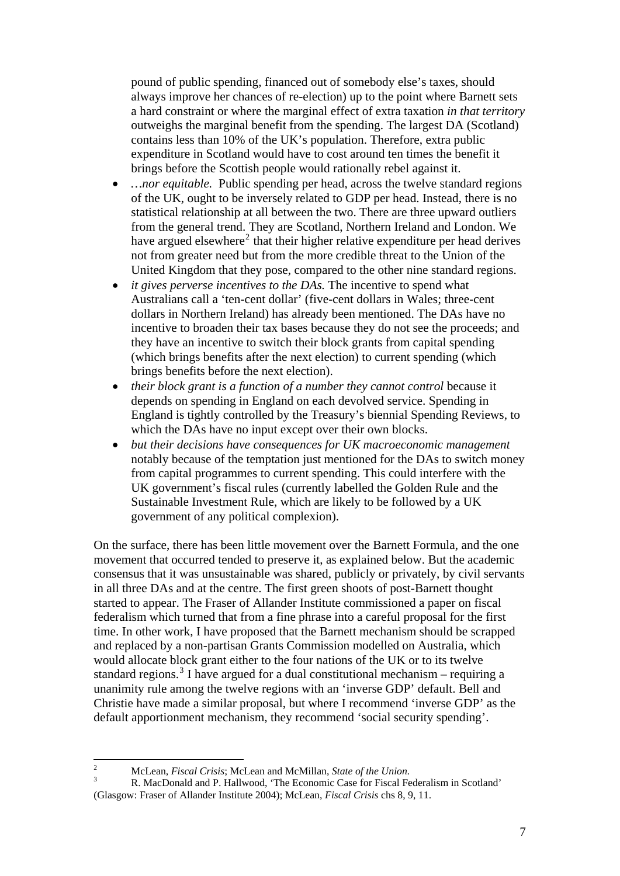<span id="page-6-0"></span>pound of public spending, financed out of somebody else's taxes, should always improve her chances of re-election) up to the point where Barnett sets a hard constraint or where the marginal effect of extra taxation *in that territory* outweighs the marginal benefit from the spending. The largest DA (Scotland) contains less than 10% of the UK's population. Therefore, extra public expenditure in Scotland would have to cost around ten times the benefit it brings before the Scottish people would rationally rebel against it.

- *…nor equitable.* Public spending per head, across the twelve standard regions of the UK, ought to be inversely related to GDP per head. Instead, there is no statistical relationship at all between the two. There are three upward outliers from the general trend. They are Scotland, Northern Ireland and London. We have argued elsewhere<sup>[2](#page-6-0)</sup> that their higher relative expenditure per head derives not from greater need but from the more credible threat to the Union of the United Kingdom that they pose, compared to the other nine standard regions.
- *it gives perverse incentives to the DAs.* The incentive to spend what Australians call a 'ten-cent dollar' (five-cent dollars in Wales; three-cent dollars in Northern Ireland) has already been mentioned. The DAs have no incentive to broaden their tax bases because they do not see the proceeds; and they have an incentive to switch their block grants from capital spending (which brings benefits after the next election) to current spending (which brings benefits before the next election).
- *their block grant is a function of a number they cannot control* because it depends on spending in England on each devolved service. Spending in England is tightly controlled by the Treasury's biennial Spending Reviews, to which the DAs have no input except over their own blocks.
- *but their decisions have consequences for UK macroeconomic management* notably because of the temptation just mentioned for the DAs to switch money from capital programmes to current spending. This could interfere with the UK government's fiscal rules (currently labelled the Golden Rule and the Sustainable Investment Rule, which are likely to be followed by a UK government of any political complexion).

On the surface, there has been little movement over the Barnett Formula, and the one movement that occurred tended to preserve it, as explained below. But the academic consensus that it was unsustainable was shared, publicly or privately, by civil servants in all three DAs and at the centre. The first green shoots of post-Barnett thought started to appear. The Fraser of Allander Institute commissioned a paper on fiscal federalism which turned that from a fine phrase into a careful proposal for the first time. In other work, I have proposed that the Barnett mechanism should be scrapped and replaced by a non-partisan Grants Commission modelled on Australia, which would allocate block grant either to the four nations of the UK or to its twelve standard regions.<sup>[3](#page-6-0)</sup> I have argued for a dual constitutional mechanism – requiring a unanimity rule among the twelve regions with an 'inverse GDP' default. Bell and Christie have made a similar proposal, but where I recommend 'inverse GDP' as the default apportionment mechanism, they recommend 'social security spending'.

 $\frac{1}{2}$ <sup>2</sup> McLean, *Fiscal Crisis*; McLean and McMillan, *State of the Union.*<br><sup>3</sup> P. MacDonald and B. Hallwood. **The Feanamic Goos** for Fiscal Fa

R. MacDonald and P. Hallwood, 'The Economic Case for Fiscal Federalism in Scotland' (Glasgow: Fraser of Allander Institute 2004); McLean, *Fiscal Crisis* chs 8, 9, 11.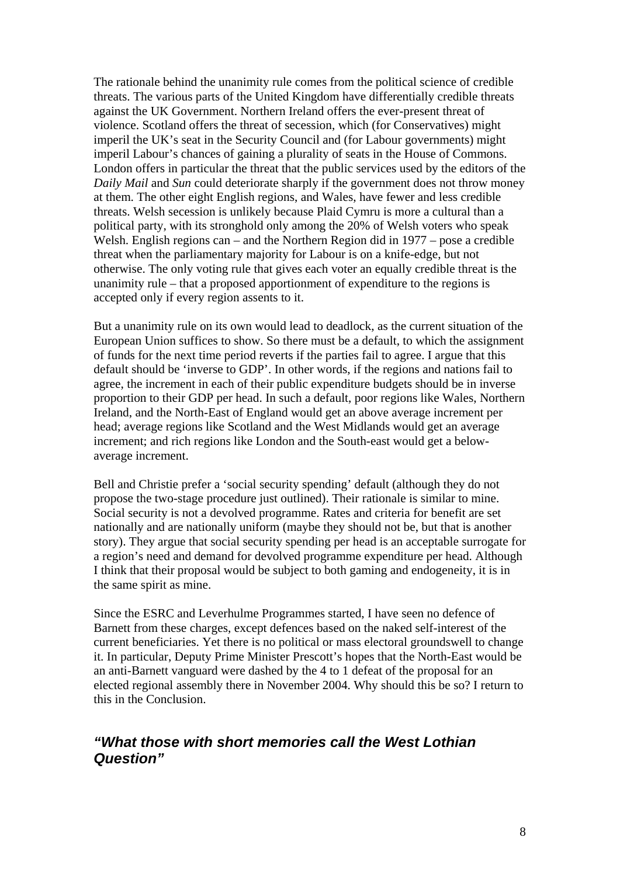The rationale behind the unanimity rule comes from the political science of credible threats. The various parts of the United Kingdom have differentially credible threats against the UK Government. Northern Ireland offers the ever-present threat of violence. Scotland offers the threat of secession, which (for Conservatives) might imperil the UK's seat in the Security Council and (for Labour governments) might imperil Labour's chances of gaining a plurality of seats in the House of Commons. London offers in particular the threat that the public services used by the editors of the *Daily Mail* and *Sun* could deteriorate sharply if the government does not throw money at them. The other eight English regions, and Wales, have fewer and less credible threats. Welsh secession is unlikely because Plaid Cymru is more a cultural than a political party, with its stronghold only among the 20% of Welsh voters who speak Welsh. English regions can – and the Northern Region did in 1977 – pose a credible threat when the parliamentary majority for Labour is on a knife-edge, but not otherwise. The only voting rule that gives each voter an equally credible threat is the unanimity rule – that a proposed apportionment of expenditure to the regions is accepted only if every region assents to it.

But a unanimity rule on its own would lead to deadlock, as the current situation of the European Union suffices to show. So there must be a default, to which the assignment of funds for the next time period reverts if the parties fail to agree. I argue that this default should be 'inverse to GDP'. In other words, if the regions and nations fail to agree, the increment in each of their public expenditure budgets should be in inverse proportion to their GDP per head. In such a default, poor regions like Wales, Northern Ireland, and the North-East of England would get an above average increment per head; average regions like Scotland and the West Midlands would get an average increment; and rich regions like London and the South-east would get a belowaverage increment.

Bell and Christie prefer a 'social security spending' default (although they do not propose the two-stage procedure just outlined). Their rationale is similar to mine. Social security is not a devolved programme. Rates and criteria for benefit are set nationally and are nationally uniform (maybe they should not be, but that is another story). They argue that social security spending per head is an acceptable surrogate for a region's need and demand for devolved programme expenditure per head. Although I think that their proposal would be subject to both gaming and endogeneity, it is in the same spirit as mine.

Since the ESRC and Leverhulme Programmes started, I have seen no defence of Barnett from these charges, except defences based on the naked self-interest of the current beneficiaries. Yet there is no political or mass electoral groundswell to change it. In particular, Deputy Prime Minister Prescott's hopes that the North-East would be an anti-Barnett vanguard were dashed by the 4 to 1 defeat of the proposal for an elected regional assembly there in November 2004. Why should this be so? I return to this in the Conclusion.

## *"What those with short memories call the West Lothian Question"*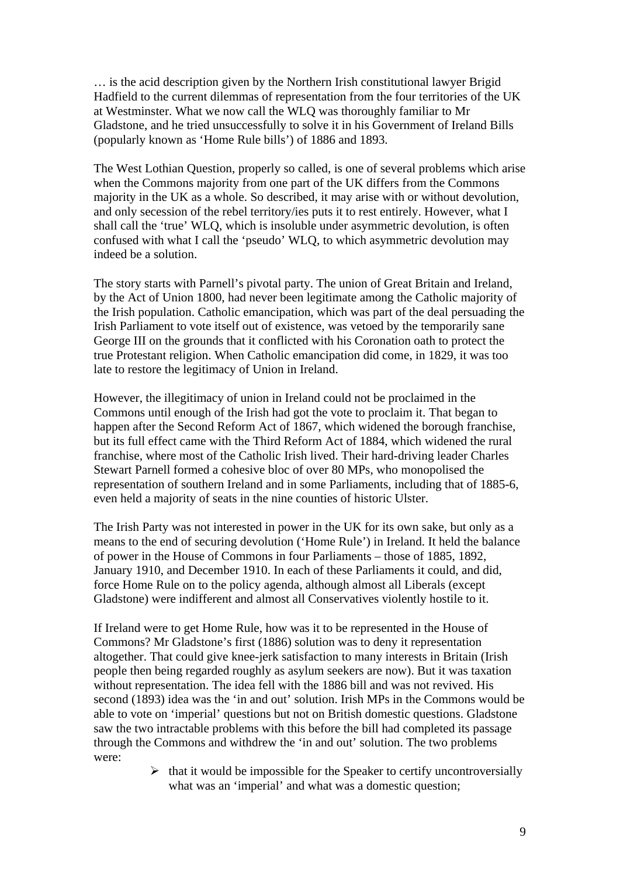… is the acid description given by the Northern Irish constitutional lawyer Brigid Hadfield to the current dilemmas of representation from the four territories of the UK at Westminster. What we now call the WLQ was thoroughly familiar to Mr Gladstone, and he tried unsuccessfully to solve it in his Government of Ireland Bills (popularly known as 'Home Rule bills') of 1886 and 1893.

The West Lothian Question, properly so called, is one of several problems which arise when the Commons majority from one part of the UK differs from the Commons majority in the UK as a whole. So described, it may arise with or without devolution, and only secession of the rebel territory/ies puts it to rest entirely. However, what I shall call the 'true' WLQ, which is insoluble under asymmetric devolution, is often confused with what I call the 'pseudo' WLQ, to which asymmetric devolution may indeed be a solution.

The story starts with Parnell's pivotal party. The union of Great Britain and Ireland, by the Act of Union 1800, had never been legitimate among the Catholic majority of the Irish population. Catholic emancipation, which was part of the deal persuading the Irish Parliament to vote itself out of existence, was vetoed by the temporarily sane George III on the grounds that it conflicted with his Coronation oath to protect the true Protestant religion. When Catholic emancipation did come, in 1829, it was too late to restore the legitimacy of Union in Ireland.

However, the illegitimacy of union in Ireland could not be proclaimed in the Commons until enough of the Irish had got the vote to proclaim it. That began to happen after the Second Reform Act of 1867, which widened the borough franchise, but its full effect came with the Third Reform Act of 1884, which widened the rural franchise, where most of the Catholic Irish lived. Their hard-driving leader Charles Stewart Parnell formed a cohesive bloc of over 80 MPs, who monopolised the representation of southern Ireland and in some Parliaments, including that of 1885-6, even held a majority of seats in the nine counties of historic Ulster.

The Irish Party was not interested in power in the UK for its own sake, but only as a means to the end of securing devolution ('Home Rule') in Ireland. It held the balance of power in the House of Commons in four Parliaments – those of 1885, 1892, January 1910, and December 1910. In each of these Parliaments it could, and did, force Home Rule on to the policy agenda, although almost all Liberals (except Gladstone) were indifferent and almost all Conservatives violently hostile to it.

If Ireland were to get Home Rule, how was it to be represented in the House of Commons? Mr Gladstone's first (1886) solution was to deny it representation altogether. That could give knee-jerk satisfaction to many interests in Britain (Irish people then being regarded roughly as asylum seekers are now). But it was taxation without representation. The idea fell with the 1886 bill and was not revived. His second (1893) idea was the 'in and out' solution. Irish MPs in the Commons would be able to vote on 'imperial' questions but not on British domestic questions. Gladstone saw the two intractable problems with this before the bill had completed its passage through the Commons and withdrew the 'in and out' solution. The two problems were:

> $\triangleright$  that it would be impossible for the Speaker to certify uncontroversially what was an 'imperial' and what was a domestic question;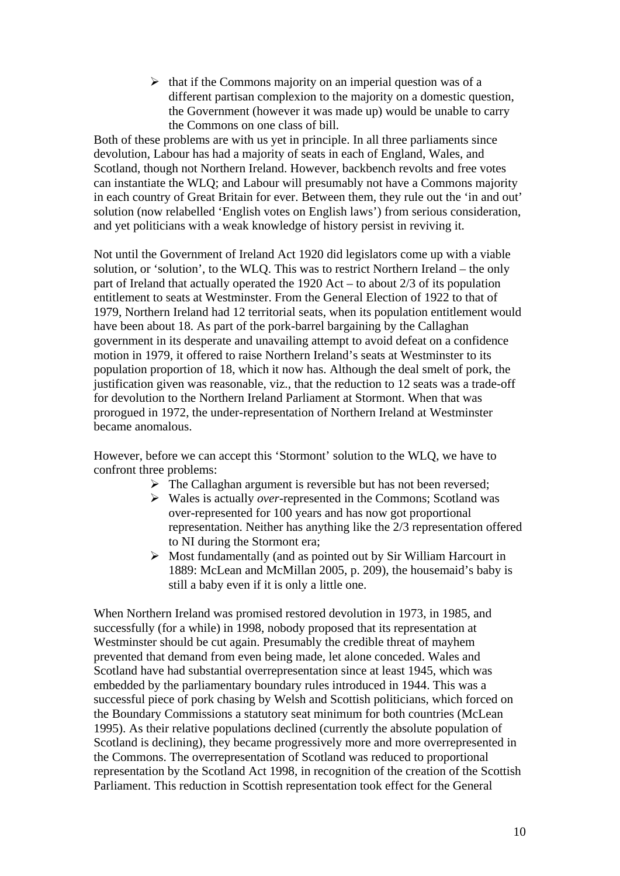$\triangleright$  that if the Commons majority on an imperial question was of a different partisan complexion to the majority on a domestic question, the Government (however it was made up) would be unable to carry the Commons on one class of bill.

Both of these problems are with us yet in principle. In all three parliaments since devolution, Labour has had a majority of seats in each of England, Wales, and Scotland, though not Northern Ireland. However, backbench revolts and free votes can instantiate the WLQ; and Labour will presumably not have a Commons majority in each country of Great Britain for ever. Between them, they rule out the 'in and out' solution (now relabelled 'English votes on English laws') from serious consideration, and yet politicians with a weak knowledge of history persist in reviving it.

Not until the Government of Ireland Act 1920 did legislators come up with a viable solution, or 'solution', to the WLQ. This was to restrict Northern Ireland – the only part of Ireland that actually operated the 1920 Act – to about 2/3 of its population entitlement to seats at Westminster. From the General Election of 1922 to that of 1979, Northern Ireland had 12 territorial seats, when its population entitlement would have been about 18. As part of the pork-barrel bargaining by the Callaghan government in its desperate and unavailing attempt to avoid defeat on a confidence motion in 1979, it offered to raise Northern Ireland's seats at Westminster to its population proportion of 18, which it now has. Although the deal smelt of pork, the justification given was reasonable, viz., that the reduction to 12 seats was a trade-off for devolution to the Northern Ireland Parliament at Stormont. When that was prorogued in 1972, the under-representation of Northern Ireland at Westminster became anomalous.

However, before we can accept this 'Stormont' solution to the WLQ, we have to confront three problems:

- $\triangleright$  The Callaghan argument is reversible but has not been reversed;
- ¾ Wales is actually *over*-represented in the Commons; Scotland was over-represented for 100 years and has now got proportional representation. Neither has anything like the 2/3 representation offered to NI during the Stormont era;
- $\triangleright$  Most fundamentally (and as pointed out by Sir William Harcourt in 1889: McLean and McMillan 2005, p. 209), the housemaid's baby is still a baby even if it is only a little one.

When Northern Ireland was promised restored devolution in 1973, in 1985, and successfully (for a while) in 1998, nobody proposed that its representation at Westminster should be cut again. Presumably the credible threat of mayhem prevented that demand from even being made, let alone conceded. Wales and Scotland have had substantial overrepresentation since at least 1945, which was embedded by the parliamentary boundary rules introduced in 1944. This was a successful piece of pork chasing by Welsh and Scottish politicians, which forced on the Boundary Commissions a statutory seat minimum for both countries (McLean 1995). As their relative populations declined (currently the absolute population of Scotland is declining), they became progressively more and more overrepresented in the Commons. The overrepresentation of Scotland was reduced to proportional representation by the Scotland Act 1998, in recognition of the creation of the Scottish Parliament. This reduction in Scottish representation took effect for the General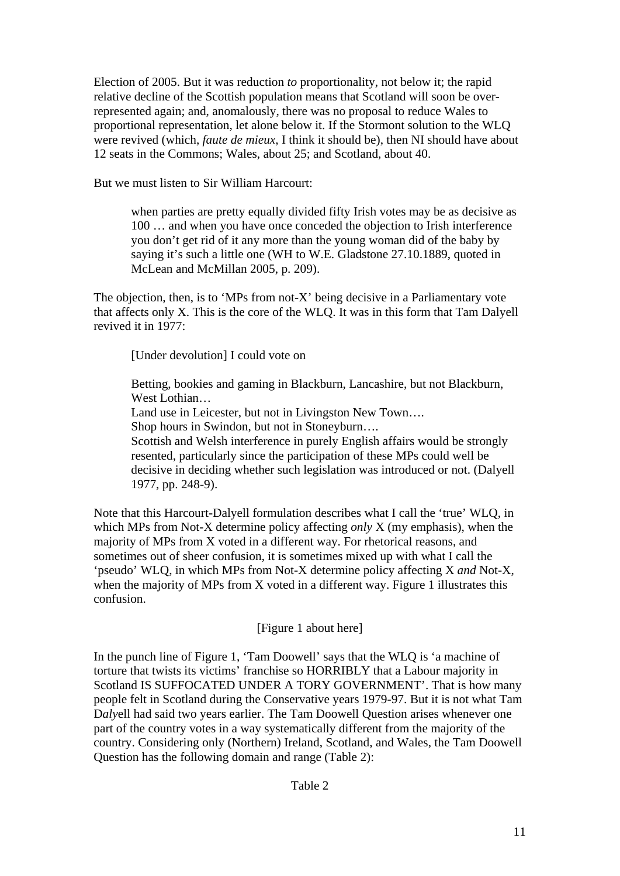Election of 2005. But it was reduction *to* proportionality, not below it; the rapid relative decline of the Scottish population means that Scotland will soon be overrepresented again; and, anomalously, there was no proposal to reduce Wales to proportional representation, let alone below it. If the Stormont solution to the WLQ were revived (which, *faute de mieux*, I think it should be), then NI should have about 12 seats in the Commons; Wales, about 25; and Scotland, about 40.

But we must listen to Sir William Harcourt:

when parties are pretty equally divided fifty Irish votes may be as decisive as 100 … and when you have once conceded the objection to Irish interference you don't get rid of it any more than the young woman did of the baby by saying it's such a little one (WH to W.E. Gladstone 27.10.1889, quoted in McLean and McMillan 2005, p. 209).

The objection, then, is to 'MPs from not-X' being decisive in a Parliamentary vote that affects only X. This is the core of the WLQ. It was in this form that Tam Dalyell revived it in 1977:

[Under devolution] I could vote on

Betting, bookies and gaming in Blackburn, Lancashire, but not Blackburn, West Lothian…

Land use in Leicester, but not in Livingston New Town….

Shop hours in Swindon, but not in Stoneyburn….

Scottish and Welsh interference in purely English affairs would be strongly resented, particularly since the participation of these MPs could well be decisive in deciding whether such legislation was introduced or not. (Dalyell 1977, pp. 248-9).

Note that this Harcourt-Dalyell formulation describes what I call the 'true' WLQ, in which MPs from Not-X determine policy affecting *only* X (my emphasis), when the majority of MPs from X voted in a different way. For rhetorical reasons, and sometimes out of sheer confusion, it is sometimes mixed up with what I call the 'pseudo' WLQ, in which MPs from Not-X determine policy affecting X *and* Not-X, when the majority of MPs from  $X$  voted in a different way. Figure 1 illustrates this confusion.

[Figure 1 about here]

In the punch line of Figure 1, 'Tam Doowell' says that the WLQ is 'a machine of torture that twists its victims' franchise so HORRIBLY that a Labour majority in Scotland IS SUFFOCATED UNDER A TORY GOVERNMENT'. That is how many people felt in Scotland during the Conservative years 1979-97. But it is not what Tam D*aly*ell had said two years earlier. The Tam Doowell Question arises whenever one part of the country votes in a way systematically different from the majority of the country. Considering only (Northern) Ireland, Scotland, and Wales, the Tam Doowell Question has the following domain and range (Table 2):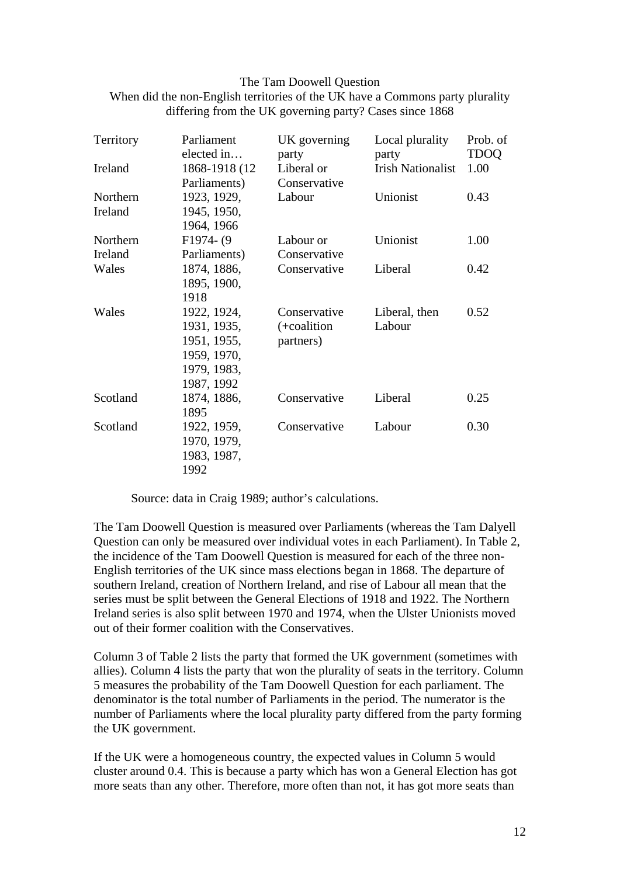#### The Tam Doowell Question When did the non-English territories of the UK have a Commons party plurality differing from the UK governing party? Cases since 1868

| Territory       | Parliament<br>elected in      | UK governing<br>party      | Local plurality<br>party | Prob. of<br><b>TDOQ</b> |
|-----------------|-------------------------------|----------------------------|--------------------------|-------------------------|
| <b>I</b> reland | 1868-1918 (12<br>Parliaments) | Liberal or<br>Conservative | <b>Irish Nationalist</b> | 1.00                    |
| Northern        | 1923, 1929,                   | Labour                     | Unionist                 | 0.43                    |
| Ireland         | 1945, 1950,<br>1964, 1966     |                            |                          |                         |
| Northern        | F <sub>1974</sub> - (9        | Labour or                  | Unionist                 | 1.00                    |
| Ireland         | Parliaments)                  | Conservative               |                          |                         |
| Wales           | 1874, 1886,                   | Conservative               | Liberal                  | 0.42                    |
|                 | 1895, 1900,                   |                            |                          |                         |
|                 | 1918                          |                            |                          |                         |
| Wales           | 1922, 1924,                   | Conservative               | Liberal, then            | 0.52                    |
|                 | 1931, 1935,                   | (+coalition                | Labour                   |                         |
|                 | 1951, 1955,                   | partners)                  |                          |                         |
|                 | 1959, 1970,                   |                            |                          |                         |
|                 | 1979, 1983,                   |                            |                          |                         |
|                 | 1987, 1992                    |                            |                          |                         |
| Scotland        | 1874, 1886,                   | Conservative               | Liberal                  | 0.25                    |
|                 | 1895                          |                            |                          |                         |
| Scotland        | 1922, 1959,                   | Conservative               | Labour                   | 0.30                    |
|                 | 1970, 1979,                   |                            |                          |                         |
|                 | 1983, 1987,                   |                            |                          |                         |
|                 | 1992                          |                            |                          |                         |

Source: data in Craig 1989; author's calculations.

The Tam Doowell Question is measured over Parliaments (whereas the Tam Dalyell Question can only be measured over individual votes in each Parliament). In Table 2, the incidence of the Tam Doowell Question is measured for each of the three non-English territories of the UK since mass elections began in 1868. The departure of southern Ireland, creation of Northern Ireland, and rise of Labour all mean that the series must be split between the General Elections of 1918 and 1922. The Northern Ireland series is also split between 1970 and 1974, when the Ulster Unionists moved out of their former coalition with the Conservatives.

Column 3 of Table 2 lists the party that formed the UK government (sometimes with allies). Column 4 lists the party that won the plurality of seats in the territory. Column 5 measures the probability of the Tam Doowell Question for each parliament. The denominator is the total number of Parliaments in the period. The numerator is the number of Parliaments where the local plurality party differed from the party forming the UK government.

If the UK were a homogeneous country, the expected values in Column 5 would cluster around 0.4. This is because a party which has won a General Election has got more seats than any other. Therefore, more often than not, it has got more seats than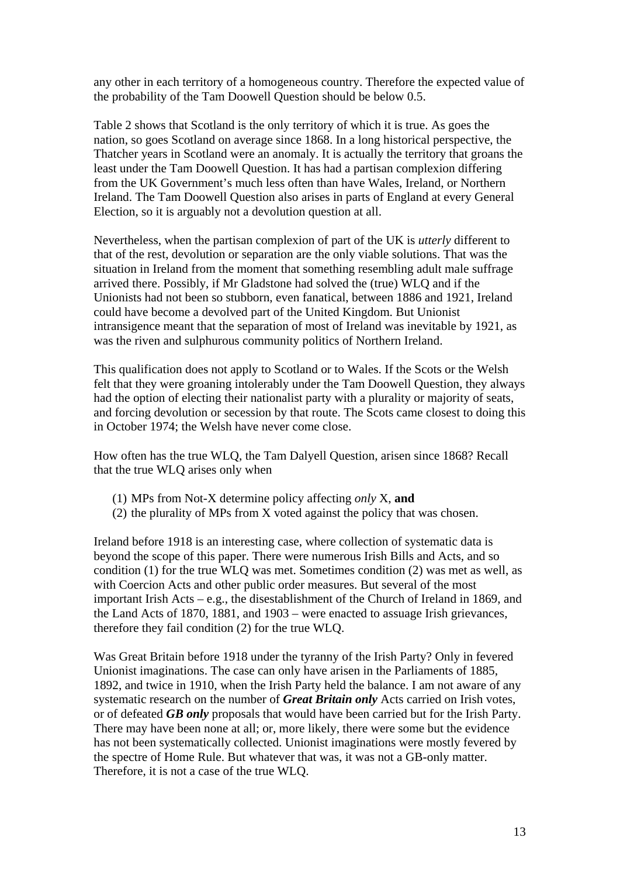any other in each territory of a homogeneous country. Therefore the expected value of the probability of the Tam Doowell Question should be below 0.5.

Table 2 shows that Scotland is the only territory of which it is true. As goes the nation, so goes Scotland on average since 1868. In a long historical perspective, the Thatcher years in Scotland were an anomaly. It is actually the territory that groans the least under the Tam Doowell Question. It has had a partisan complexion differing from the UK Government's much less often than have Wales, Ireland, or Northern Ireland. The Tam Doowell Question also arises in parts of England at every General Election, so it is arguably not a devolution question at all.

Nevertheless, when the partisan complexion of part of the UK is *utterly* different to that of the rest, devolution or separation are the only viable solutions. That was the situation in Ireland from the moment that something resembling adult male suffrage arrived there. Possibly, if Mr Gladstone had solved the (true) WLQ and if the Unionists had not been so stubborn, even fanatical, between 1886 and 1921, Ireland could have become a devolved part of the United Kingdom. But Unionist intransigence meant that the separation of most of Ireland was inevitable by 1921, as was the riven and sulphurous community politics of Northern Ireland.

This qualification does not apply to Scotland or to Wales. If the Scots or the Welsh felt that they were groaning intolerably under the Tam Doowell Question, they always had the option of electing their nationalist party with a plurality or majority of seats, and forcing devolution or secession by that route. The Scots came closest to doing this in October 1974; the Welsh have never come close.

How often has the true WLQ, the Tam Dalyell Question, arisen since 1868? Recall that the true WLQ arises only when

- (1) MPs from Not-X determine policy affecting *only* X, **and**
- (2) the plurality of MPs from X voted against the policy that was chosen.

Ireland before 1918 is an interesting case, where collection of systematic data is beyond the scope of this paper. There were numerous Irish Bills and Acts, and so condition (1) for the true WLQ was met. Sometimes condition (2) was met as well, as with Coercion Acts and other public order measures. But several of the most important Irish Acts – e.g., the disestablishment of the Church of Ireland in 1869, and the Land Acts of 1870, 1881, and 1903 – were enacted to assuage Irish grievances, therefore they fail condition (2) for the true WLQ.

Was Great Britain before 1918 under the tyranny of the Irish Party? Only in fevered Unionist imaginations. The case can only have arisen in the Parliaments of 1885, 1892, and twice in 1910, when the Irish Party held the balance. I am not aware of any systematic research on the number of *Great Britain only* Acts carried on Irish votes, or of defeated *GB only* proposals that would have been carried but for the Irish Party. There may have been none at all; or, more likely, there were some but the evidence has not been systematically collected. Unionist imaginations were mostly fevered by the spectre of Home Rule. But whatever that was, it was not a GB-only matter. Therefore, it is not a case of the true WLQ.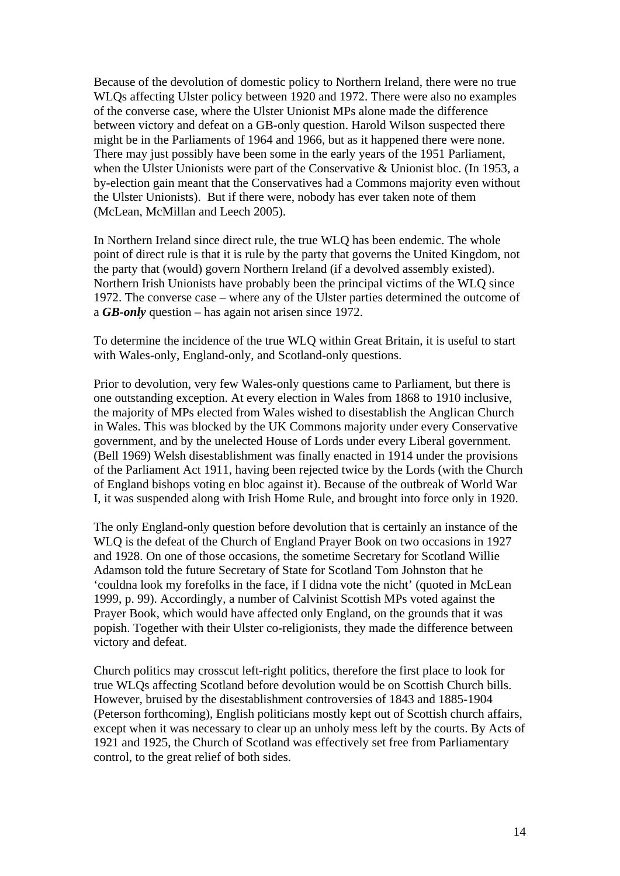Because of the devolution of domestic policy to Northern Ireland, there were no true WLQs affecting Ulster policy between 1920 and 1972. There were also no examples of the converse case, where the Ulster Unionist MPs alone made the difference between victory and defeat on a GB-only question. Harold Wilson suspected there might be in the Parliaments of 1964 and 1966, but as it happened there were none. There may just possibly have been some in the early years of the 1951 Parliament, when the Ulster Unionists were part of the Conservative & Unionist bloc. (In 1953, a by-election gain meant that the Conservatives had a Commons majority even without the Ulster Unionists). But if there were, nobody has ever taken note of them (McLean, McMillan and Leech 2005).

In Northern Ireland since direct rule, the true WLQ has been endemic. The whole point of direct rule is that it is rule by the party that governs the United Kingdom, not the party that (would) govern Northern Ireland (if a devolved assembly existed). Northern Irish Unionists have probably been the principal victims of the WLQ since 1972. The converse case – where any of the Ulster parties determined the outcome of a *GB-only* question – has again not arisen since 1972.

To determine the incidence of the true WLQ within Great Britain, it is useful to start with Wales-only, England-only, and Scotland-only questions.

Prior to devolution, very few Wales-only questions came to Parliament, but there is one outstanding exception. At every election in Wales from 1868 to 1910 inclusive, the majority of MPs elected from Wales wished to disestablish the Anglican Church in Wales. This was blocked by the UK Commons majority under every Conservative government, and by the unelected House of Lords under every Liberal government. (Bell 1969) Welsh disestablishment was finally enacted in 1914 under the provisions of the Parliament Act 1911, having been rejected twice by the Lords (with the Church of England bishops voting en bloc against it). Because of the outbreak of World War I, it was suspended along with Irish Home Rule, and brought into force only in 1920.

The only England-only question before devolution that is certainly an instance of the WLQ is the defeat of the Church of England Prayer Book on two occasions in 1927 and 1928. On one of those occasions, the sometime Secretary for Scotland Willie Adamson told the future Secretary of State for Scotland Tom Johnston that he 'couldna look my forefolks in the face, if I didna vote the nicht' (quoted in McLean 1999, p. 99). Accordingly, a number of Calvinist Scottish MPs voted against the Prayer Book, which would have affected only England, on the grounds that it was popish. Together with their Ulster co-religionists, they made the difference between victory and defeat.

Church politics may crosscut left-right politics, therefore the first place to look for true WLQs affecting Scotland before devolution would be on Scottish Church bills. However, bruised by the disestablishment controversies of 1843 and 1885-1904 (Peterson forthcoming), English politicians mostly kept out of Scottish church affairs, except when it was necessary to clear up an unholy mess left by the courts. By Acts of 1921 and 1925, the Church of Scotland was effectively set free from Parliamentary control, to the great relief of both sides.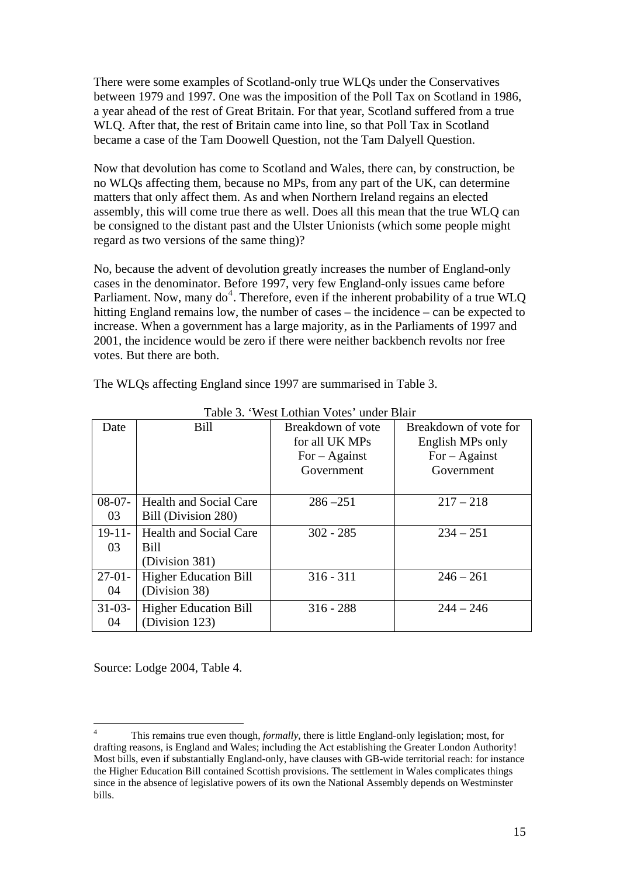<span id="page-14-0"></span>There were some examples of Scotland-only true WLQs under the Conservatives between 1979 and 1997. One was the imposition of the Poll Tax on Scotland in 1986, a year ahead of the rest of Great Britain. For that year, Scotland suffered from a true WLQ. After that, the rest of Britain came into line, so that Poll Tax in Scotland became a case of the Tam Doowell Question, not the Tam Dalyell Question.

Now that devolution has come to Scotland and Wales, there can, by construction, be no WLQs affecting them, because no MPs, from any part of the UK, can determine matters that only affect them. As and when Northern Ireland regains an elected assembly, this will come true there as well. Does all this mean that the true WLQ can be consigned to the distant past and the Ulster Unionists (which some people might regard as two versions of the same thing)?

No, because the advent of devolution greatly increases the number of England-only cases in the denominator. Before 1997, very few England-only issues came before Parliament. Now, many  $d\sigma^4$  $d\sigma^4$ . Therefore, even if the inherent probability of a true WLQ hitting England remains low, the number of cases – the incidence – can be expected to increase. When a government has a large majority, as in the Parliaments of 1997 and 2001, the incidence would be zero if there were neither backbench revolts nor free votes. But there are both.

The WLQs affecting England since 1997 are summarised in Table 3.

| Date     | Bill                          | Breakdown of vote<br>for all UK MPs<br>For $-$ Against<br>Government | Breakdown of vote for<br>English MPs only<br>$For - Against$<br>Government |
|----------|-------------------------------|----------------------------------------------------------------------|----------------------------------------------------------------------------|
| $08-07-$ | <b>Health and Social Care</b> | $286 - 251$                                                          | $217 - 218$                                                                |
| 03       | Bill (Division 280)           |                                                                      |                                                                            |
| $19-11-$ | <b>Health and Social Care</b> | $302 - 285$                                                          | $234 - 251$                                                                |
| 03       | Bill                          |                                                                      |                                                                            |
|          | (Division 381)                |                                                                      |                                                                            |
| $27-01-$ | <b>Higher Education Bill</b>  | $316 - 311$                                                          | $246 - 261$                                                                |
| 04       | (Division 38)                 |                                                                      |                                                                            |
| $31-03-$ | <b>Higher Education Bill</b>  | $316 - 288$                                                          | $244 - 246$                                                                |
| 04       | (Division 123)                |                                                                      |                                                                            |

Table 3. 'West Lothian Votes' under Blair

Source: Lodge 2004, Table 4.

 $\frac{1}{4}$  This remains true even though, *formally*, there is little England-only legislation; most, for drafting reasons, is England and Wales; including the Act establishing the Greater London Authority! Most bills, even if substantially England-only, have clauses with GB-wide territorial reach: for instance the Higher Education Bill contained Scottish provisions. The settlement in Wales complicates things since in the absence of legislative powers of its own the National Assembly depends on Westminster bills.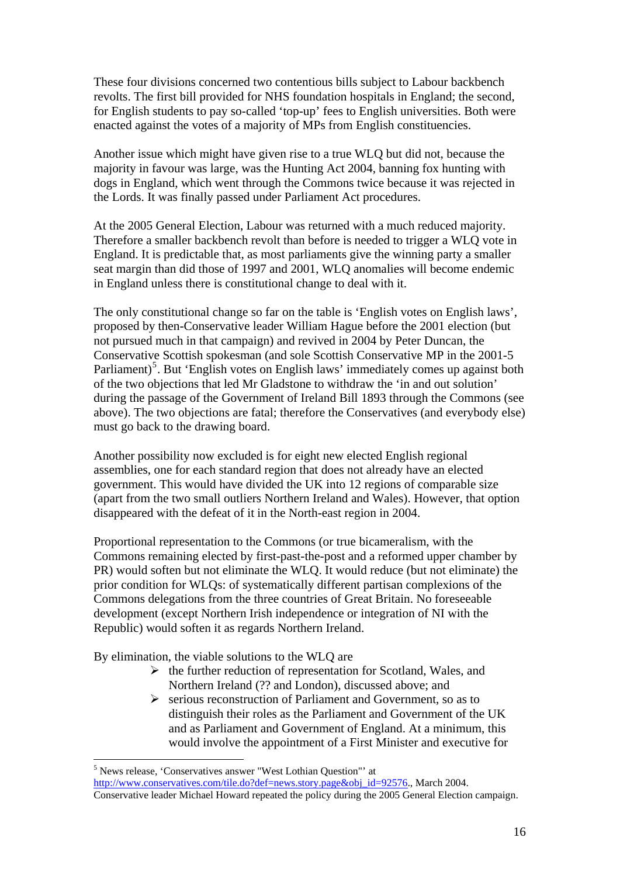<span id="page-15-0"></span>These four divisions concerned two contentious bills subject to Labour backbench revolts. The first bill provided for NHS foundation hospitals in England; the second, for English students to pay so-called 'top-up' fees to English universities. Both were enacted against the votes of a majority of MPs from English constituencies.

Another issue which might have given rise to a true WLQ but did not, because the majority in favour was large, was the Hunting Act 2004, banning fox hunting with dogs in England, which went through the Commons twice because it was rejected in the Lords. It was finally passed under Parliament Act procedures.

At the 2005 General Election, Labour was returned with a much reduced majority. Therefore a smaller backbench revolt than before is needed to trigger a WLQ vote in England. It is predictable that, as most parliaments give the winning party a smaller seat margin than did those of 1997 and 2001, WLQ anomalies will become endemic in England unless there is constitutional change to deal with it.

The only constitutional change so far on the table is 'English votes on English laws', proposed by then-Conservative leader William Hague before the 2001 election (but not pursued much in that campaign) and revived in 2004 by Peter Duncan, the Conservative Scottish spokesman (and sole Scottish Conservative MP in the 2001-5 Parliament)<sup>[5](#page-15-0)</sup>. But 'English votes on English laws' immediately comes up against both of the two objections that led Mr Gladstone to withdraw the 'in and out solution' during the passage of the Government of Ireland Bill 1893 through the Commons (see above). The two objections are fatal; therefore the Conservatives (and everybody else) must go back to the drawing board.

Another possibility now excluded is for eight new elected English regional assemblies, one for each standard region that does not already have an elected government. This would have divided the UK into 12 regions of comparable size (apart from the two small outliers Northern Ireland and Wales). However, that option disappeared with the defeat of it in the North-east region in 2004.

Proportional representation to the Commons (or true bicameralism, with the Commons remaining elected by first-past-the-post and a reformed upper chamber by PR) would soften but not eliminate the WLQ. It would reduce (but not eliminate) the prior condition for WLQs: of systematically different partisan complexions of the Commons delegations from the three countries of Great Britain. No foreseeable development (except Northern Irish independence or integration of NI with the Republic) would soften it as regards Northern Ireland.

By elimination, the viable solutions to the WLQ are

- $\triangleright$  the further reduction of representation for Scotland, Wales, and Northern Ireland (?? and London), discussed above; and
- ¾ serious reconstruction of Parliament and Government, so as to distinguish their roles as the Parliament and Government of the UK and as Parliament and Government of England. At a minimum, this would involve the appointment of a First Minister and executive for

1

<sup>5</sup> News release, 'Conservatives answer "West Lothian Question"' at

[http://www.conservatives.com/tile.do?def=news.story.page&obj\\_id=92576.](http://www.conservatives.com/tile.do?def=news.story.page&obj_id=92576), March 2004.

Conservative leader Michael Howard repeated the policy during the 2005 General Election campaign.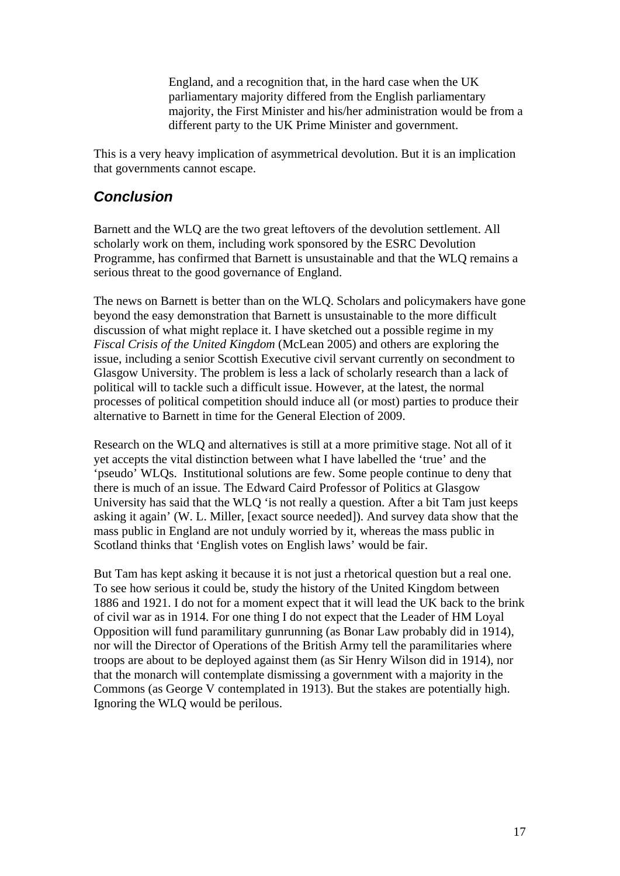England, and a recognition that, in the hard case when the UK parliamentary majority differed from the English parliamentary majority, the First Minister and his/her administration would be from a different party to the UK Prime Minister and government.

This is a very heavy implication of asymmetrical devolution. But it is an implication that governments cannot escape.

### *Conclusion*

Barnett and the WLQ are the two great leftovers of the devolution settlement. All scholarly work on them, including work sponsored by the ESRC Devolution Programme, has confirmed that Barnett is unsustainable and that the WLQ remains a serious threat to the good governance of England.

The news on Barnett is better than on the WLQ. Scholars and policymakers have gone beyond the easy demonstration that Barnett is unsustainable to the more difficult discussion of what might replace it. I have sketched out a possible regime in my *Fiscal Crisis of the United Kingdom* (McLean 2005) and others are exploring the issue, including a senior Scottish Executive civil servant currently on secondment to Glasgow University. The problem is less a lack of scholarly research than a lack of political will to tackle such a difficult issue. However, at the latest, the normal processes of political competition should induce all (or most) parties to produce their alternative to Barnett in time for the General Election of 2009.

Research on the WLQ and alternatives is still at a more primitive stage. Not all of it yet accepts the vital distinction between what I have labelled the 'true' and the 'pseudo' WLQs. Institutional solutions are few. Some people continue to deny that there is much of an issue. The Edward Caird Professor of Politics at Glasgow University has said that the WLQ 'is not really a question. After a bit Tam just keeps asking it again' (W. L. Miller, [exact source needed]). And survey data show that the mass public in England are not unduly worried by it, whereas the mass public in Scotland thinks that 'English votes on English laws' would be fair.

But Tam has kept asking it because it is not just a rhetorical question but a real one. To see how serious it could be, study the history of the United Kingdom between 1886 and 1921. I do not for a moment expect that it will lead the UK back to the brink of civil war as in 1914. For one thing I do not expect that the Leader of HM Loyal Opposition will fund paramilitary gunrunning (as Bonar Law probably did in 1914), nor will the Director of Operations of the British Army tell the paramilitaries where troops are about to be deployed against them (as Sir Henry Wilson did in 1914), nor that the monarch will contemplate dismissing a government with a majority in the Commons (as George V contemplated in 1913). But the stakes are potentially high. Ignoring the WLQ would be perilous.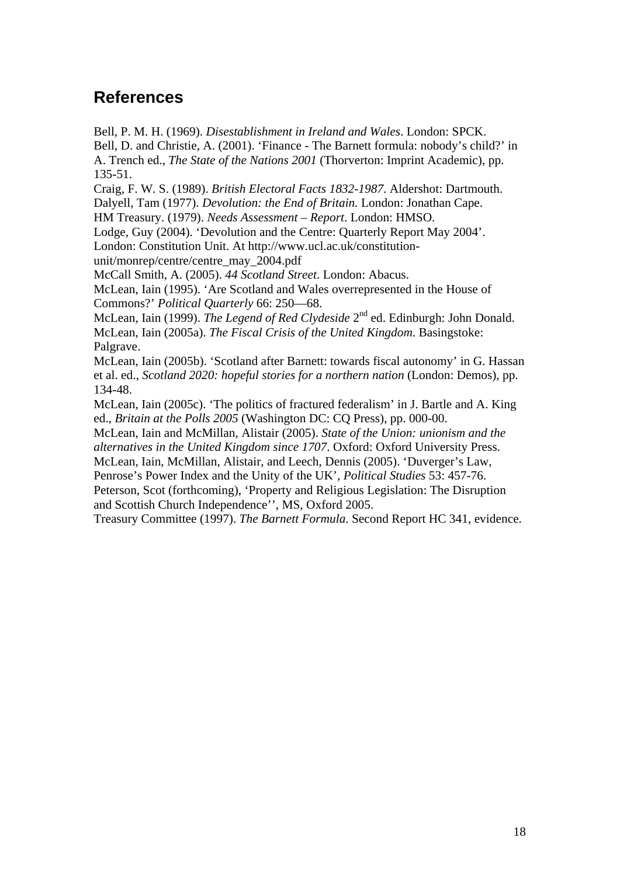# **References**

Bell, P. M. H. (1969). *Disestablishment in Ireland and Wales*. London: SPCK. Bell, D. and Christie, A. (2001). 'Finance - The Barnett formula: nobody's child?' in A. Trench ed., *The State of the Nations 2001* (Thorverton: Imprint Academic), pp. 135-51.

Craig, F. W. S. (1989). *British Electoral Facts 1832-1987*. Aldershot: Dartmouth. Dalyell, Tam (1977). *Devolution: the End of Britain.* London: Jonathan Cape. HM Treasury. (1979). *Needs Assessment – Report*. London: HMSO.

Lodge, Guy (2004). 'Devolution and the Centre: Quarterly Report May 2004'. London: Constitution Unit. At http://www.ucl.ac.uk/constitution-

unit/monrep/centre/centre\_may\_2004.pdf

McCall Smith, A. (2005). *44 Scotland Street*. London: Abacus.

McLean, Iain (1995). 'Are Scotland and Wales overrepresented in the House of Commons?' *Political Quarterly* 66: 250—68.

McLean, Iain (1999). *The Legend of Red Clydeside* 2nd ed. Edinburgh: John Donald. McLean, Iain (2005a). *The Fiscal Crisis of the United Kingdom*. Basingstoke: Palgrave.

McLean, Iain (2005b). 'Scotland after Barnett: towards fiscal autonomy' in G. Hassan et al. ed., *Scotland 2020: hopeful stories for a northern nation* (London: Demos), pp. 134-48.

McLean, Iain (2005c). 'The politics of fractured federalism' in J. Bartle and A. King ed., *Britain at the Polls 2005* (Washington DC: CQ Press), pp. 000-00.

McLean, Iain and McMillan, Alistair (2005). *State of the Union: unionism and the alternatives in the United Kingdom since 1707*. Oxford: Oxford University Press. McLean, Iain, McMillan, Alistair, and Leech, Dennis (2005). 'Duverger's Law,

Penrose's Power Index and the Unity of the UK'*, Political Studies* 53: 457-76. Peterson, Scot (forthcoming), 'Property and Religious Legislation: The Disruption and Scottish Church Independence'', MS, Oxford 2005.

Treasury Committee (1997). *The Barnett Formula*. Second Report HC 341, evidence.